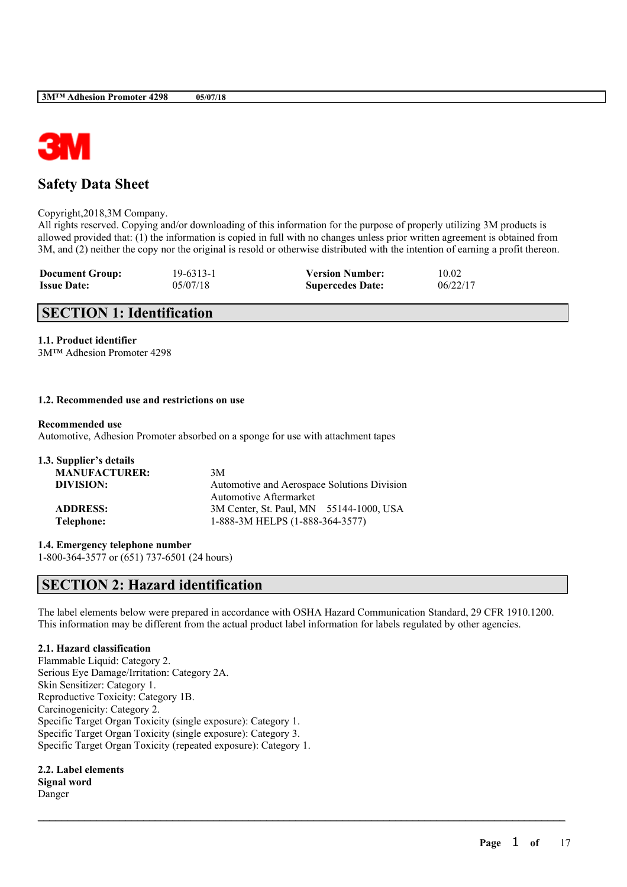

# **Safety Data Sheet**

Copyright,2018,3M Company.

All rights reserved. Copying and/or downloading of this information for the purpose of properly utilizing 3M products is allowed provided that: (1) the information is copied in full with no changes unless prior written agreement is obtained from 3M, and (2) neither the copy nor the original is resold or otherwise distributed with the intention of earning a profit thereon.

| <b>Document Group:</b> | 19-6313-1 | <b>Version Number:</b>  | 10.02    |
|------------------------|-----------|-------------------------|----------|
| <b>Issue Date:</b>     | 05/07/18  | <b>Supercedes Date:</b> | 06/22/17 |

# **SECTION 1: Identification**

## **1.1. Product identifier**

3M™ Adhesion Promoter 4298

### **1.2. Recommended use and restrictions on use**

#### **Recommended use**

Automotive, Adhesion Promoter absorbed on a sponge for use with attachment tapes

| 1.3. Supplier's details |                                             |
|-------------------------|---------------------------------------------|
| <b>MANUFACTURER:</b>    | 3M                                          |
| DIVISION:               | Automotive and Aerospace Solutions Division |
|                         | <b>Automotive Aftermarket</b>               |
| <b>ADDRESS:</b>         | 3M Center, St. Paul, MN 55144-1000, USA     |
| Telephone:              | 1-888-3M HELPS (1-888-364-3577)             |
|                         |                                             |

**1.4. Emergency telephone number**

1-800-364-3577 or (651) 737-6501 (24 hours)

# **SECTION 2: Hazard identification**

The label elements below were prepared in accordance with OSHA Hazard Communication Standard, 29 CFR 1910.1200. This information may be different from the actual product label information for labels regulated by other agencies.

 $\mathcal{L}_\mathcal{L} = \mathcal{L}_\mathcal{L} = \mathcal{L}_\mathcal{L} = \mathcal{L}_\mathcal{L} = \mathcal{L}_\mathcal{L} = \mathcal{L}_\mathcal{L} = \mathcal{L}_\mathcal{L} = \mathcal{L}_\mathcal{L} = \mathcal{L}_\mathcal{L} = \mathcal{L}_\mathcal{L} = \mathcal{L}_\mathcal{L} = \mathcal{L}_\mathcal{L} = \mathcal{L}_\mathcal{L} = \mathcal{L}_\mathcal{L} = \mathcal{L}_\mathcal{L} = \mathcal{L}_\mathcal{L} = \mathcal{L}_\mathcal{L}$ 

## **2.1. Hazard classification**

Flammable Liquid: Category 2. Serious Eye Damage/Irritation: Category 2A. Skin Sensitizer: Category 1. Reproductive Toxicity: Category 1B. Carcinogenicity: Category 2. Specific Target Organ Toxicity (single exposure): Category 1. Specific Target Organ Toxicity (single exposure): Category 3. Specific Target Organ Toxicity (repeated exposure): Category 1.

**2.2. Label elements Signal word** Danger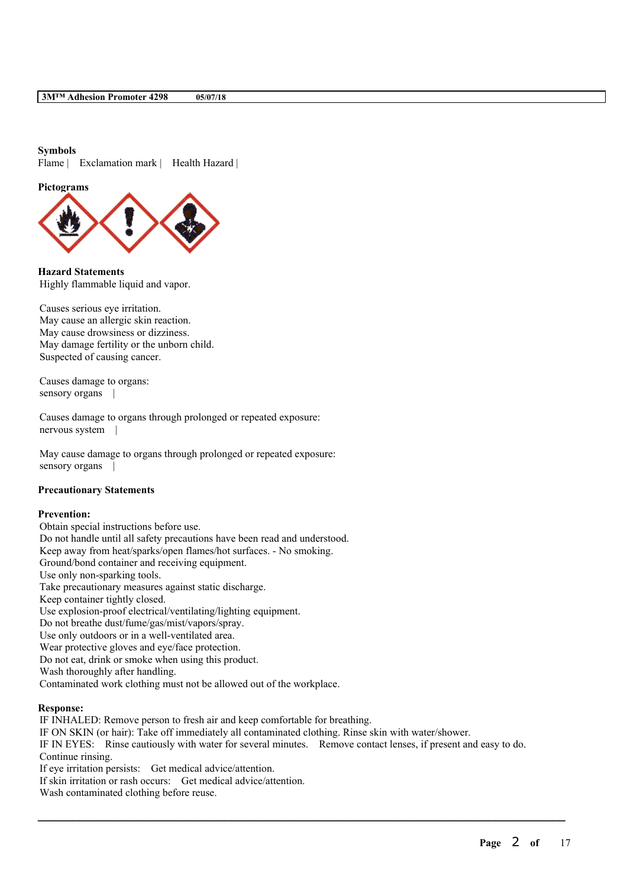#### **Symbols**

Flame | Exclamation mark | Health Hazard |

**Pictograms**



**Hazard Statements** Highly flammable liquid and vapor.

Causes serious eye irritation. May cause an allergic skin reaction. May cause drowsiness or dizziness. May damage fertility or the unborn child. Suspected of causing cancer.

Causes damage to organs: sensory organs

Causes damage to organs through prolonged or repeated exposure: nervous system |

May cause damage to organs through prolonged or repeated exposure: sensory organs |

### **Precautionary Statements**

### **Prevention:**

Obtain special instructions before use. Do not handle until all safety precautions have been read and understood. Keep away from heat/sparks/open flames/hot surfaces. - No smoking. Ground/bond container and receiving equipment. Use only non-sparking tools. Take precautionary measures against static discharge. Keep container tightly closed. Use explosion-proof electrical/ventilating/lighting equipment. Do not breathe dust/fume/gas/mist/vapors/spray. Use only outdoors or in a well-ventilated area. Wear protective gloves and eye/face protection. Do not eat, drink or smoke when using this product. Wash thoroughly after handling. Contaminated work clothing must not be allowed out of the workplace.

#### **Response:**

IF INHALED: Remove person to fresh air and keep comfortable for breathing. IF ON SKIN (or hair): Take off immediately all contaminated clothing. Rinse skin with water/shower. IF IN EYES: Rinse cautiously with water for several minutes. Remove contact lenses, if present and easy to do. Continue rinsing. If eye irritation persists: Get medical advice/attention. If skin irritation or rash occurs: Get medical advice/attention.

 $\mathcal{L}_\mathcal{L} = \mathcal{L}_\mathcal{L} = \mathcal{L}_\mathcal{L} = \mathcal{L}_\mathcal{L} = \mathcal{L}_\mathcal{L} = \mathcal{L}_\mathcal{L} = \mathcal{L}_\mathcal{L} = \mathcal{L}_\mathcal{L} = \mathcal{L}_\mathcal{L} = \mathcal{L}_\mathcal{L} = \mathcal{L}_\mathcal{L} = \mathcal{L}_\mathcal{L} = \mathcal{L}_\mathcal{L} = \mathcal{L}_\mathcal{L} = \mathcal{L}_\mathcal{L} = \mathcal{L}_\mathcal{L} = \mathcal{L}_\mathcal{L}$ 

Wash contaminated clothing before reuse.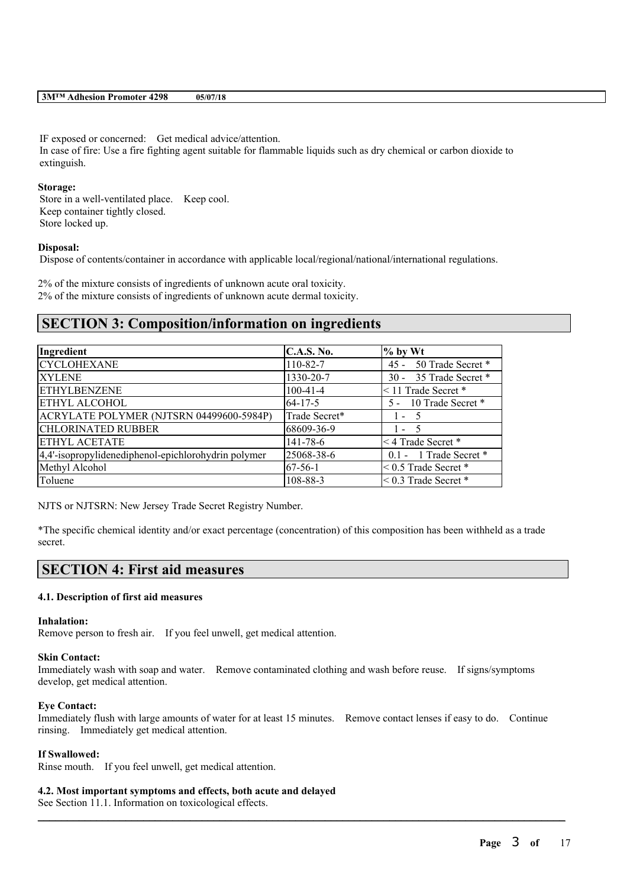IF exposed or concerned: Get medical advice/attention. In case of fire: Use a fire fighting agent suitable for flammable liquids such as dry chemical or carbon dioxide to extinguish.

#### **Storage:**

Store in a well-ventilated place. Keep cool. Keep container tightly closed. Store locked up.

### **Disposal:**

Dispose of contents/container in accordance with applicable local/regional/national/international regulations.

2% of the mixture consists of ingredients of unknown acute oral toxicity. 2% of the mixture consists of ingredients of unknown acute dermal toxicity.

# **SECTION 3: Composition/information on ingredients**

| Ingredient                                          | <b>C.A.S. No.</b> | $\%$ by Wt                |
|-----------------------------------------------------|-------------------|---------------------------|
| <b>CYCLOHEXANE</b>                                  | 110-82-7          | 45 - 50 Trade Secret *    |
| <b>XYLENE</b>                                       | 1330-20-7         | 30 - 35 Trade Secret *    |
| <b>ETHYLBENZENE</b>                                 | $100-41-4$        | $\leq$ 11 Trade Secret *  |
| <b>ETHYL ALCOHOL</b>                                | $64 - 17 - 5$     | 5 - 10 Trade Secret *     |
| ACRYLATE POLYMER (NJTSRN 04499600-5984P)            | Trade Secret*     | $1 - 5$                   |
| <b>CHLORINATED RUBBER</b>                           | 68609-36-9        | $1 - 5$                   |
| <b>ETHYL ACETATE</b>                                | $141 - 78 - 6$    | <4 Trade Secret *         |
| 4,4'-isopropylidenediphenol-epichlorohydrin polymer | 25068-38-6        | 0.1 - 1 Trade Secret *    |
| Methyl Alcohol                                      | $67-56-1$         | $< 0.5$ Trade Secret $*$  |
| Toluene                                             | 108-88-3          | $\leq$ 0.3 Trade Secret * |

NJTS or NJTSRN: New Jersey Trade Secret Registry Number.

\*The specific chemical identity and/or exact percentage (concentration) of this composition has been withheld as a trade secret.

# **SECTION 4: First aid measures**

## **4.1. Description of first aid measures**

#### **Inhalation:**

Remove person to fresh air. If you feel unwell, get medical attention.

### **Skin Contact:**

Immediately wash with soap and water. Remove contaminated clothing and wash before reuse. If signs/symptoms develop, get medical attention.

#### **Eye Contact:**

Immediately flush with large amounts of water for at least 15 minutes. Remove contact lenses if easy to do. Continue rinsing. Immediately get medical attention.

 $\mathcal{L}_\mathcal{L} = \mathcal{L}_\mathcal{L} = \mathcal{L}_\mathcal{L} = \mathcal{L}_\mathcal{L} = \mathcal{L}_\mathcal{L} = \mathcal{L}_\mathcal{L} = \mathcal{L}_\mathcal{L} = \mathcal{L}_\mathcal{L} = \mathcal{L}_\mathcal{L} = \mathcal{L}_\mathcal{L} = \mathcal{L}_\mathcal{L} = \mathcal{L}_\mathcal{L} = \mathcal{L}_\mathcal{L} = \mathcal{L}_\mathcal{L} = \mathcal{L}_\mathcal{L} = \mathcal{L}_\mathcal{L} = \mathcal{L}_\mathcal{L}$ 

#### **If Swallowed:**

Rinse mouth. If you feel unwell, get medical attention.

#### **4.2. Most important symptoms and effects, both acute and delayed**

See Section 11.1. Information on toxicological effects.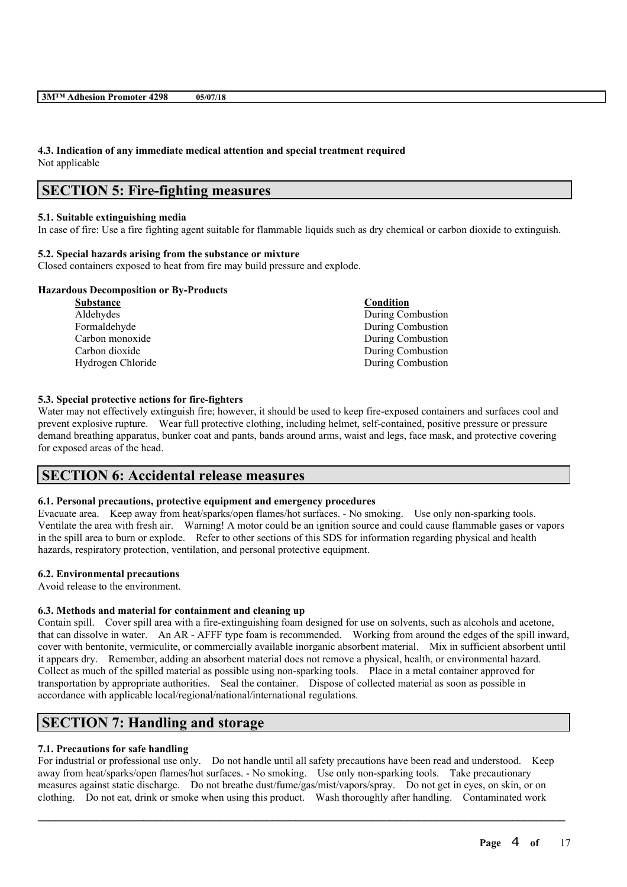## **4.3. Indication of any immediate medical attention and special treatment required** Not applicable

# **SECTION 5: Fire-fighting measures**

### **5.1. Suitable extinguishing media**

In case of fire: Use a fire fighting agent suitable for flammable liquids such as dry chemical or carbon dioxide to extinguish.

### **5.2. Special hazards arising from the substance or mixture**

Closed containers exposed to heat from fire may build pressure and explode.

### **Hazardous Decomposition or By-Products**

| Condition         |
|-------------------|
| During Combustion |
| During Combustion |
| During Combustion |
| During Combustion |
| During Combustion |
|                   |

## **5.3. Special protective actions for fire-fighters**

Water may not effectively extinguish fire; however, it should be used to keep fire-exposed containers and surfaces cool and prevent explosive rupture. Wear full protective clothing, including helmet, self-contained, positive pressure or pressure demand breathing apparatus, bunker coat and pants, bands around arms, waist and legs, face mask, and protective covering for exposed areas of the head.

# **SECTION 6: Accidental release measures**

## **6.1. Personal precautions, protective equipment and emergency procedures**

Evacuate area. Keep away from heat/sparks/open flames/hot surfaces. - No smoking. Use only non-sparking tools. Ventilate the area with fresh air. Warning! A motor could be an ignition source and could cause flammable gases or vapors in the spill area to burn or explode. Refer to other sections of this SDS for information regarding physical and health hazards, respiratory protection, ventilation, and personal protective equipment.

# **6.2. Environmental precautions**

Avoid release to the environment.

## **6.3. Methods and material for containment and cleaning up**

Contain spill. Cover spill area with a fire-extinguishing foam designed for use on solvents, such as alcohols and acetone, that can dissolve in water. An AR - AFFF type foam is recommended. Working from around the edges of the spill inward, cover with bentonite, vermiculite, or commercially available inorganic absorbent material. Mix in sufficient absorbent until it appears dry. Remember, adding an absorbent material does not remove a physical, health, or environmental hazard. Collect as much of the spilled material as possible using non-sparking tools. Place in a metal container approved for transportation by appropriate authorities. Seal the container. Dispose of collected material as soon as possible in accordance with applicable local/regional/national/international regulations.

# **SECTION 7: Handling and storage**

## **7.1. Precautions for safe handling**

For industrial or professional use only. Do not handle until all safety precautions have been read and understood. Keep away from heat/sparks/open flames/hot surfaces. - No smoking. Use only non-sparking tools. Take precautionary measures against static discharge. Do not breathe dust/fume/gas/mist/vapors/spray. Do not get in eyes, on skin, or on clothing. Do not eat, drink or smoke when using this product. Wash thoroughly after handling. Contaminated work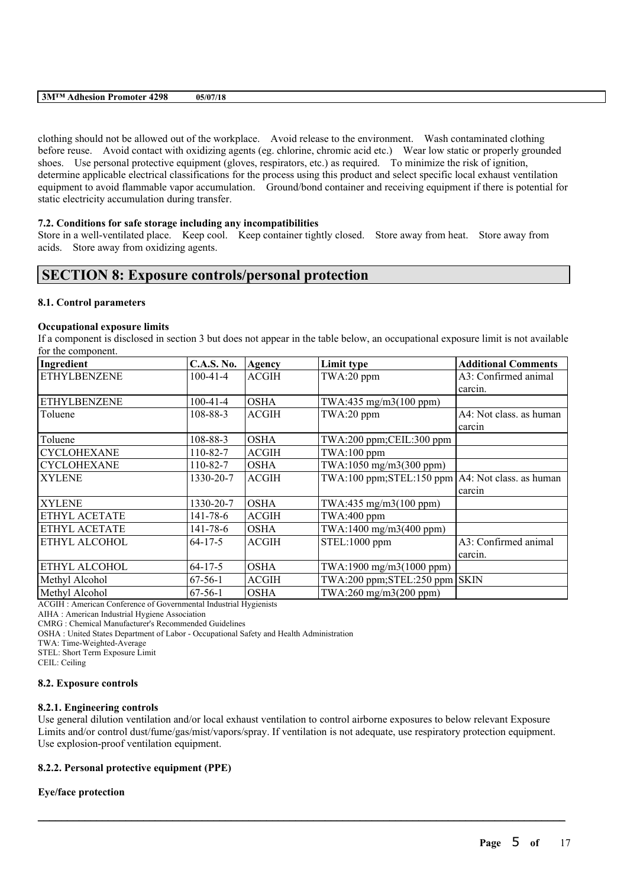clothing should not be allowed out of the workplace. Avoid release to the environment. Wash contaminated clothing before reuse. Avoid contact with oxidizing agents (eg. chlorine, chromic acid etc.) Wear low static or properly grounded shoes. Use personal protective equipment (gloves, respirators, etc.) as required. To minimize the risk of ignition, determine applicable electrical classifications for the process using this product and select specific local exhaust ventilation equipment to avoid flammable vapor accumulation. Ground/bond container and receiving equipment if there is potential for static electricity accumulation during transfer.

#### **7.2. Conditions for safe storage including any incompatibilities**

Store in a well-ventilated place. Keep cool. Keep container tightly closed. Store away from heat. Store away from acids. Store away from oxidizing agents.

# **SECTION 8: Exposure controls/personal protection**

#### **8.1. Control parameters**

#### **Occupational exposure limits**

If a component is disclosed in section 3 but does not appear in the table below, an occupational exposure limit is not available for the component.

| Ingredient          | <b>C.A.S. No.</b> | Agency       | Limit type                                            | <b>Additional Comments</b> |
|---------------------|-------------------|--------------|-------------------------------------------------------|----------------------------|
| <b>ETHYLBENZENE</b> | $100-41-4$        | <b>ACGIH</b> | TWA:20 ppm                                            | A3: Confirmed animal       |
|                     |                   |              |                                                       | carcin.                    |
| <b>ETHYLBENZENE</b> | $100-41-4$        | <b>OSHA</b>  | TWA:435 mg/m3(100 ppm)                                |                            |
| Toluene             | 108-88-3          | <b>ACGIH</b> | TWA:20 ppm                                            | A4: Not class. as human    |
|                     |                   |              |                                                       | carcin                     |
| Toluene             | 108-88-3          | <b>OSHA</b>  | TWA:200 ppm;CEIL:300 ppm                              |                            |
| <b>CYCLOHEXANE</b>  | 110-82-7          | <b>ACGIH</b> | TWA:100 ppm                                           |                            |
| <b>CYCLOHEXANE</b>  | $110 - 82 - 7$    | <b>OSHA</b>  | TWA:1050 mg/m3(300 ppm)                               |                            |
| <b>XYLENE</b>       | 1330-20-7         | <b>ACGIH</b> | $TWA:100 ppm; STEL:150 ppm   A4: Not class.$ as human |                            |
|                     |                   |              |                                                       | carcin                     |
| <b>XYLENE</b>       | 1330-20-7         | <b>OSHA</b>  | TWA:435 mg/m3(100 ppm)                                |                            |
| ETHYL ACETATE       | 141-78-6          | <b>ACGIH</b> | $TWA:400$ ppm                                         |                            |
| ETHYL ACETATE       | 141-78-6          | <b>OSHA</b>  | TWA:1400 mg/m3(400 ppm)                               |                            |
| ETHYL ALCOHOL       | $64 - 17 - 5$     | <b>ACGIH</b> | STEL:1000 ppm                                         | A3: Confirmed animal       |
|                     |                   |              |                                                       | carcin.                    |
| ETHYL ALCOHOL       | $64 - 17 - 5$     | <b>OSHA</b>  | TWA:1900 mg/m3(1000 ppm)                              |                            |
| Methyl Alcohol      | $67-56-1$         | <b>ACGIH</b> | $TWA:200$ ppm; $STEL:250$ ppm $SKIN$                  |                            |
| Methyl Alcohol      | $67-56-1$         | <b>OSHA</b>  | TWA:260 mg/m3(200 ppm)                                |                            |

ACGIH : American Conference of Governmental Industrial Hygienists

AIHA : American Industrial Hygiene Association

CMRG : Chemical Manufacturer's Recommended Guidelines

OSHA : United States Department of Labor - Occupational Safety and Health Administration

TWA: Time-Weighted-Average

STEL: Short Term Exposure Limit

CEIL: Ceiling

#### **8.2. Exposure controls**

#### **8.2.1. Engineering controls**

Use general dilution ventilation and/or local exhaust ventilation to control airborne exposures to below relevant Exposure Limits and/or control dust/fume/gas/mist/vapors/spray. If ventilation is not adequate, use respiratory protection equipment. Use explosion-proof ventilation equipment.

 $\mathcal{L}_\mathcal{L} = \mathcal{L}_\mathcal{L} = \mathcal{L}_\mathcal{L} = \mathcal{L}_\mathcal{L} = \mathcal{L}_\mathcal{L} = \mathcal{L}_\mathcal{L} = \mathcal{L}_\mathcal{L} = \mathcal{L}_\mathcal{L} = \mathcal{L}_\mathcal{L} = \mathcal{L}_\mathcal{L} = \mathcal{L}_\mathcal{L} = \mathcal{L}_\mathcal{L} = \mathcal{L}_\mathcal{L} = \mathcal{L}_\mathcal{L} = \mathcal{L}_\mathcal{L} = \mathcal{L}_\mathcal{L} = \mathcal{L}_\mathcal{L}$ 

#### **8.2.2. Personal protective equipment (PPE)**

#### **Eye/face protection**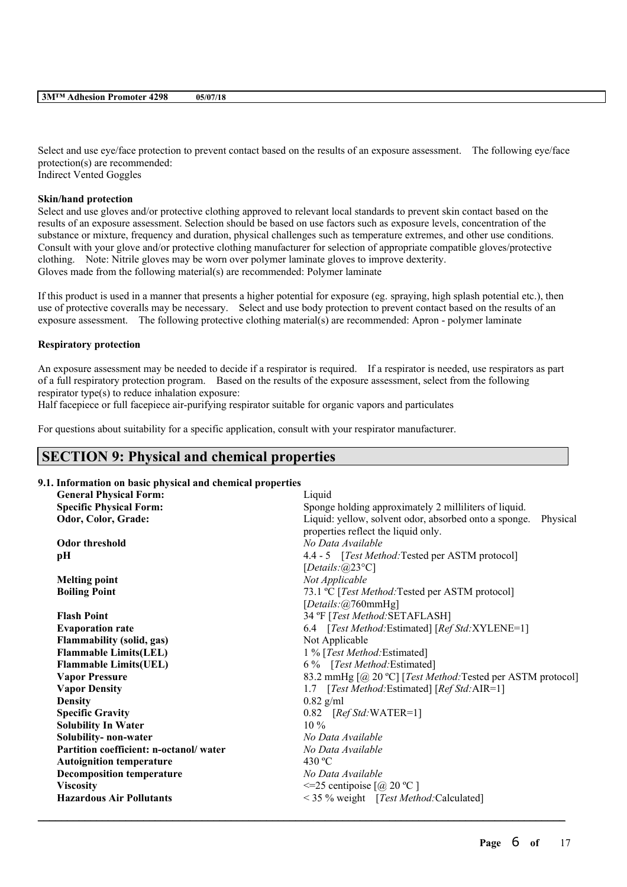Select and use eye/face protection to prevent contact based on the results of an exposure assessment. The following eye/face protection(s) are recommended: Indirect Vented Goggles

## **Skin/hand protection**

Select and use gloves and/or protective clothing approved to relevant local standards to prevent skin contact based on the results of an exposure assessment. Selection should be based on use factors such as exposure levels, concentration of the substance or mixture, frequency and duration, physical challenges such as temperature extremes, and other use conditions. Consult with your glove and/or protective clothing manufacturer for selection of appropriate compatible gloves/protective clothing. Note: Nitrile gloves may be worn over polymer laminate gloves to improve dexterity. Gloves made from the following material(s) are recommended: Polymer laminate

If this product is used in a manner that presents a higher potential for exposure (eg. spraying, high splash potential etc.), then use of protective coveralls may be necessary. Select and use body protection to prevent contact based on the results of an exposure assessment. The following protective clothing material(s) are recommended: Apron - polymer laminate

### **Respiratory protection**

An exposure assessment may be needed to decide if a respirator is required. If a respirator is needed, use respirators as part of a full respiratory protection program. Based on the results of the exposure assessment, select from the following respirator type(s) to reduce inhalation exposure:

Half facepiece or full facepiece air-purifying respirator suitable for organic vapors and particulates

For questions about suitability for a specific application, consult with your respirator manufacturer.

# **SECTION 9: Physical and chemical properties**

## **9.1. Information on basic physical and chemical properties**

| <b>General Physical Form:</b>          | Liquid                                                            |  |
|----------------------------------------|-------------------------------------------------------------------|--|
| <b>Specific Physical Form:</b>         | Sponge holding approximately 2 milliliters of liquid.             |  |
| Odor, Color, Grade:                    | Liquid: yellow, solvent odor, absorbed onto a sponge.<br>Physical |  |
|                                        | properties reflect the liquid only.                               |  |
| <b>Odor threshold</b>                  | No Data Available                                                 |  |
| pН                                     | 4.4 - 5 [Test Method: Tested per ASTM protocol]                   |  |
|                                        | [Details: $(a)$ 23°C]                                             |  |
| <b>Melting point</b>                   | Not Applicable                                                    |  |
| <b>Boiling Point</b>                   | 73.1 °C [Test Method: Tested per ASTM protocol]                   |  |
|                                        | [Details:@760mmHg]                                                |  |
| <b>Flash Point</b>                     | 34 °F [Test Method: SETAFLASH]                                    |  |
| <b>Evaporation rate</b>                | 6.4 [Test Method: Estimated] [Ref Std: XYLENE=1]                  |  |
| <b>Flammability (solid, gas)</b>       | Not Applicable                                                    |  |
| <b>Flammable Limits(LEL)</b>           | 1 % [Test Method: Estimated]                                      |  |
| <b>Flammable Limits(UEL)</b>           | 6 % [Test Method: Estimated]                                      |  |
| <b>Vapor Pressure</b>                  | 83.2 mmHg [@ 20 °C] [Test Method: Tested per ASTM protocol]       |  |
| <b>Vapor Density</b>                   | 1.7 [Test Method: Estimated] [Ref Std: AIR=1]                     |  |
| <b>Density</b>                         | $0.82$ g/ml                                                       |  |
| <b>Specific Gravity</b>                | $0.82$ [Ref Std:WATER=1]                                          |  |
| <b>Solubility In Water</b>             | $10\%$                                                            |  |
| Solubility- non-water                  | No Data Available                                                 |  |
| Partition coefficient: n-octanol/water | No Data Available                                                 |  |
| <b>Autoignition temperature</b>        | 430 $^{\circ}$ C                                                  |  |
| <b>Decomposition temperature</b>       | No Data Available                                                 |  |
| <b>Viscosity</b>                       | $\leq$ 25 centipoise [@ 20 °C]                                    |  |
| <b>Hazardous Air Pollutants</b>        | < 35 % weight [Test Method: Calculated]                           |  |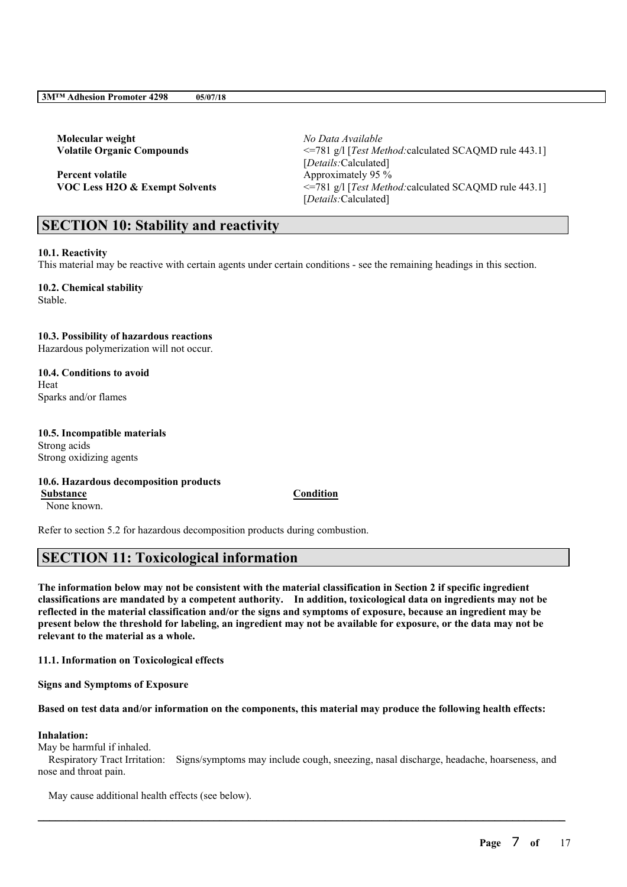**Molecular weight** *No Data Available*

**Percent volatile** Approximately 95 %

**Volatile Organic Compounds** <=781 g/l [*Test Method:*calculated SCAQMD rule 443.1] [*Details:*Calculated] **VOC Less H2O & Exempt Solvents** <=781 g/l [*Test Method:*calculated SCAQMD rule 443.1] [*Details:*Calculated]

# **SECTION 10: Stability and reactivity**

## **10.1. Reactivity**

This material may be reactive with certain agents under certain conditions - see the remaining headings in this section.

**10.2. Chemical stability** Stable.

## **10.3. Possibility of hazardous reactions**

Hazardous polymerization will not occur.

**10.4. Conditions to avoid** Heat Sparks and/or flames

# **10.5. Incompatible materials**

Strong acids Strong oxidizing agents

# **10.6. Hazardous decomposition products**

**Substance Condition** None known.

Refer to section 5.2 for hazardous decomposition products during combustion.

# **SECTION 11: Toxicological information**

The information below may not be consistent with the material classification in Section 2 if specific ingredient **classifications are mandated by a competent authority. In addition, toxicological data on ingredients may not be** reflected in the material classification and/or the signs and symptoms of exposure, because an ingredient may be present below the threshold for labeling, an ingredient may not be available for exposure, or the data may not be **relevant to the material as a whole.**

**11.1. Information on Toxicological effects**

**Signs and Symptoms of Exposure**

## Based on test data and/or information on the components, this material may produce the following health effects:

# **Inhalation:**

May be harmful if inhaled.

Respiratory Tract Irritation: Signs/symptoms may include cough, sneezing, nasal discharge, headache, hoarseness, and nose and throat pain.

 $\mathcal{L}_\mathcal{L} = \mathcal{L}_\mathcal{L} = \mathcal{L}_\mathcal{L} = \mathcal{L}_\mathcal{L} = \mathcal{L}_\mathcal{L} = \mathcal{L}_\mathcal{L} = \mathcal{L}_\mathcal{L} = \mathcal{L}_\mathcal{L} = \mathcal{L}_\mathcal{L} = \mathcal{L}_\mathcal{L} = \mathcal{L}_\mathcal{L} = \mathcal{L}_\mathcal{L} = \mathcal{L}_\mathcal{L} = \mathcal{L}_\mathcal{L} = \mathcal{L}_\mathcal{L} = \mathcal{L}_\mathcal{L} = \mathcal{L}_\mathcal{L}$ 

May cause additional health effects (see below).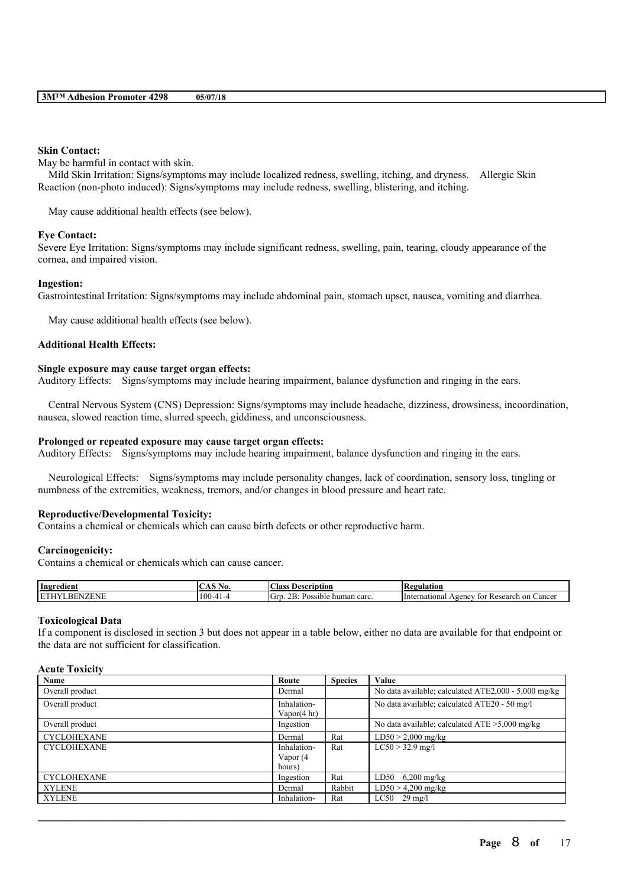### **Skin Contact:**

May be harmful in contact with skin.

Mild Skin Irritation: Signs/symptoms may include localized redness, swelling, itching, and dryness. Allergic Skin Reaction (non-photo induced): Signs/symptoms may include redness, swelling, blistering, and itching.

May cause additional health effects (see below).

#### **Eye Contact:**

Severe Eye Irritation: Signs/symptoms may include significant redness, swelling, pain, tearing, cloudy appearance of the cornea, and impaired vision.

#### **Ingestion:**

Gastrointestinal Irritation: Signs/symptoms may include abdominal pain, stomach upset, nausea, vomiting and diarrhea.

May cause additional health effects (see below).

## **Additional Health Effects:**

#### **Single exposure may cause target organ effects:**

Auditory Effects: Signs/symptoms may include hearing impairment, balance dysfunction and ringing in the ears.

Central Nervous System (CNS) Depression: Signs/symptoms may include headache, dizziness, drowsiness, incoordination, nausea, slowed reaction time, slurred speech, giddiness, and unconsciousness.

#### **Prolonged or repeated exposure may cause target organ effects:**

Auditory Effects: Signs/symptoms may include hearing impairment, balance dysfunction and ringing in the ears.

Neurological Effects: Signs/symptoms may include personality changes, lack of coordination, sensory loss, tingling or numbness of the extremities, weakness, tremors, and/or changes in blood pressure and heart rate.

#### **Reproductive/Developmental Toxicity:**

Contains a chemical or chemicals which can cause birth defects or other reproductive harm.

### **Carcinogenicity:**

Contains a chemical or chemicals which can cause cancer.

| Ingredient                     | NO.<br>$\lambda \lambda$ | $\sim$<br>' lass<br>Description                    | tegulation<br>LVC)                                             |
|--------------------------------|--------------------------|----------------------------------------------------|----------------------------------------------------------------|
| I ET<br>'HNE<br>ıн<br>w<br>лэг | 1 ሰሰ                     | $\sim$<br>lGrr<br>~~<br>human carc.<br>Possible in | mational<br>Research<br>Cancer<br>Vgency<br>on<br>Interr<br>TΩ |

#### **Toxicological Data**

If a component is disclosed in section 3 but does not appear in a table below, either no data are available for that endpoint or the data are not sufficient for classification.

### **Acute Toxicity**

| Name               | Route                  | <b>Species</b> | Value                                                |
|--------------------|------------------------|----------------|------------------------------------------------------|
| Overall product    | Dermal                 |                | No data available; calculated ATE2,000 - 5,000 mg/kg |
| Overall product    | Inhalation-            |                | No data available; calculated ATE20 - 50 mg/l        |
|                    | Vapor $(4 \text{ hr})$ |                |                                                      |
| Overall product    | Ingestion              |                | No data available; calculated $ATE > 5,000$ mg/kg    |
| <b>CYCLOHEXANE</b> | Dermal                 | Rat            | $LD50 > 2,000$ mg/kg                                 |
| <b>CYCLOHEXANE</b> | Inhalation-            | Rat            | $LC50 > 32.9$ mg/l                                   |
|                    | Vapor (4               |                |                                                      |
|                    | hours)                 |                |                                                      |
| <b>CYCLOHEXANE</b> | Ingestion              | Rat            | $6,200$ mg/kg<br>LD50                                |
| <b>XYLENE</b>      | Dermal                 | Rabbit         | $LD50 > 4,200$ mg/kg                                 |
| <b>XYLENE</b>      | Inhalation-            | Rat            | $LC50$ 29 mg/l                                       |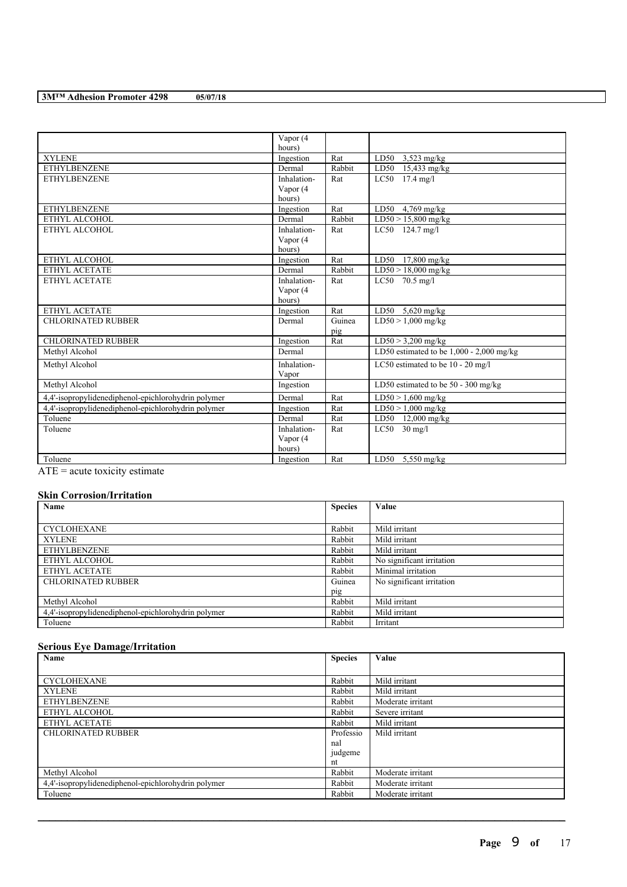|                                                     | Vapor (4    |        |                                            |
|-----------------------------------------------------|-------------|--------|--------------------------------------------|
|                                                     | hours)      |        |                                            |
| <b>XYLENE</b>                                       | Ingestion   | Rat    | LD50 $3,523$ mg/kg                         |
| <b>ETHYLBENZENE</b>                                 | Dermal      | Rabbit | LD50 15,433 mg/kg                          |
| <b>ETHYLBENZENE</b>                                 | Inhalation- | Rat    | $LC50$ 17.4 mg/l                           |
|                                                     | Vapor (4    |        |                                            |
|                                                     | hours)      |        |                                            |
| <b>ETHYLBENZENE</b>                                 | Ingestion   | Rat    | LD50 $4,769$ mg/kg                         |
| ETHYL ALCOHOL                                       | Dermal      | Rabbit | $LD50 > 15,800$ mg/kg                      |
| ETHYL ALCOHOL                                       | Inhalation- | Rat    | LC50 124.7 mg/l                            |
|                                                     | Vapor (4    |        |                                            |
|                                                     | hours)      |        |                                            |
| ETHYL ALCOHOL                                       | Ingestion   | Rat    | LD50 17,800 mg/kg                          |
| ETHYL ACETATE                                       | Dermal      | Rabbit | $LD50 > 18,000$ mg/kg                      |
| ETHYL ACETATE                                       | Inhalation- | Rat    | $LC50$ 70.5 mg/l                           |
|                                                     | Vapor (4    |        |                                            |
|                                                     | hours)      |        |                                            |
| ETHYL ACETATE                                       | Ingestion   | Rat    | LD50 $5,620$ mg/kg                         |
| <b>CHLORINATED RUBBER</b>                           | Dermal      | Guinea | $LD50 > 1,000$ mg/kg                       |
|                                                     |             | pig    |                                            |
| <b>CHLORINATED RUBBER</b>                           | Ingestion   | Rat    | $LD50 > 3,200$ mg/kg                       |
| Methyl Alcohol                                      | Dermal      |        | LD50 estimated to be $1,000 - 2,000$ mg/kg |
| Methyl Alcohol                                      | Inhalation- |        | LC50 estimated to be 10 - 20 mg/l          |
|                                                     | Vapor       |        |                                            |
| Methyl Alcohol                                      | Ingestion   |        | LD50 estimated to be 50 - 300 mg/kg        |
| 4,4'-isopropylidenediphenol-epichlorohydrin polymer | Dermal      | Rat    | $LD50 > 1,600$ mg/kg                       |
| 4,4'-isopropylidenediphenol-epichlorohydrin polymer | Ingestion   | Rat    | $LD50 > 1,000$ mg/kg                       |
| Toluene                                             | Dermal      | Rat    | LD50 12,000 mg/kg                          |
| Toluene                                             | Inhalation- | Rat    | $LC50$ 30 mg/l                             |
|                                                     | Vapor (4    |        |                                            |
|                                                     | hours)      |        |                                            |
| Toluene<br>the company's company's com-             | Ingestion   | Rat    | LD50 $5,550$ mg/kg                         |

 $\overline{ATE}$  = acute toxicity estimate

# **Skin Corrosion/Irritation**

| Name                                                | <b>Species</b> | Value                     |
|-----------------------------------------------------|----------------|---------------------------|
|                                                     |                |                           |
| <b>CYCLOHEXANE</b>                                  | Rabbit         | Mild irritant             |
| <b>XYLENE</b>                                       | Rabbit         | Mild irritant             |
| <b>ETHYLBENZENE</b>                                 | Rabbit         | Mild irritant             |
| ETHYL ALCOHOL                                       | Rabbit         | No significant irritation |
| ETHYL ACETATE                                       | Rabbit         | Minimal irritation        |
| <b>CHLORINATED RUBBER</b>                           | Guinea         | No significant irritation |
|                                                     | pig            |                           |
| Methyl Alcohol                                      | Rabbit         | Mild irritant             |
| 4,4'-isopropylidenediphenol-epichlorohydrin polymer | Rabbit         | Mild irritant             |
| Toluene                                             | Rabbit         | Irritant                  |

# **Serious Eye Damage/Irritation**

| Name                                                | <b>Species</b> | Value             |
|-----------------------------------------------------|----------------|-------------------|
|                                                     |                |                   |
| <b>CYCLOHEXANE</b>                                  | Rabbit         | Mild irritant     |
| <b>XYLENE</b>                                       | Rabbit         | Mild irritant     |
| <b>ETHYLBENZENE</b>                                 | Rabbit         | Moderate irritant |
| ETHYL ALCOHOL                                       | Rabbit         | Severe irritant   |
| ETHYL ACETATE                                       | Rabbit         | Mild irritant     |
| <b>CHLORINATED RUBBER</b>                           | Professio      | Mild irritant     |
|                                                     | nal            |                   |
|                                                     | judgeme        |                   |
|                                                     | nt             |                   |
| Methyl Alcohol                                      | Rabbit         | Moderate irritant |
| 4,4'-isopropylidenediphenol-epichlorohydrin polymer | Rabbit         | Moderate irritant |
| Toluene                                             | Rabbit         | Moderate irritant |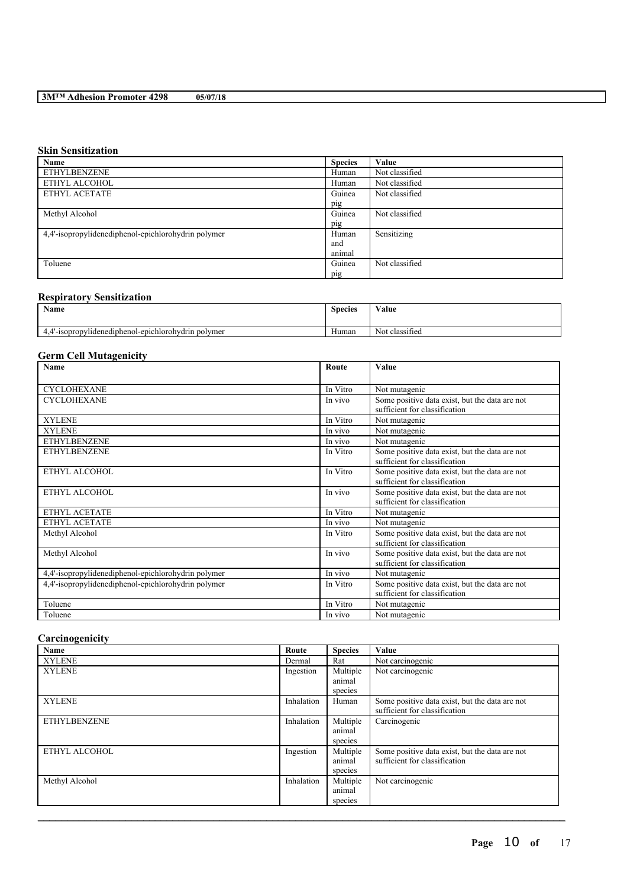# **Skin Sensitization**

| Name                                                | <b>Species</b> | Value          |
|-----------------------------------------------------|----------------|----------------|
| <b>ETHYLBENZENE</b>                                 | Human          | Not classified |
| ETHYL ALCOHOL                                       | Human          | Not classified |
| ETHYL ACETATE                                       | Guinea         | Not classified |
|                                                     | pig            |                |
| Methyl Alcohol                                      | Guinea         | Not classified |
|                                                     | pig            |                |
| 4,4'-isopropylidenediphenol-epichlorohydrin polymer | Human          | Sensitizing    |
|                                                     | and            |                |
|                                                     | animal         |                |
| Toluene                                             | Guinea         | Not classified |
|                                                     | pig            |                |

# **Respiratory Sensitization**

| Name                                                       | $\sim$<br><b>Species</b> | Value                               |
|------------------------------------------------------------|--------------------------|-------------------------------------|
| .4'-isopropylidenediphenol-epichlorohydrin polymer<br>т. – | $-$<br>Human             | . .<br><b>A Y</b><br>Not classified |

# **Germ Cell Mutagenicity**

| Name                                                | Route    | Value                                                                           |
|-----------------------------------------------------|----------|---------------------------------------------------------------------------------|
|                                                     |          |                                                                                 |
| <b>CYCLOHEXANE</b>                                  | In Vitro | Not mutagenic                                                                   |
| <b>CYCLOHEXANE</b>                                  | In vivo  | Some positive data exist, but the data are not<br>sufficient for classification |
| <b>XYLENE</b>                                       | In Vitro | Not mutagenic                                                                   |
| <b>XYLENE</b>                                       | In vivo  | Not mutagenic                                                                   |
| <b>ETHYLBENZENE</b>                                 | In vivo  | Not mutagenic                                                                   |
| <b>ETHYLBENZENE</b>                                 | In Vitro | Some positive data exist, but the data are not<br>sufficient for classification |
| ETHYL ALCOHOL                                       | In Vitro | Some positive data exist, but the data are not<br>sufficient for classification |
| ETHYL ALCOHOL                                       | In vivo  | Some positive data exist, but the data are not<br>sufficient for classification |
| ETHYL ACETATE                                       | In Vitro | Not mutagenic                                                                   |
| <b>ETHYL ACETATE</b>                                | In vivo  | Not mutagenic                                                                   |
| Methyl Alcohol                                      | In Vitro | Some positive data exist, but the data are not<br>sufficient for classification |
| Methyl Alcohol                                      | In vivo  | Some positive data exist, but the data are not<br>sufficient for classification |
| 4,4'-isopropylidenediphenol-epichlorohydrin polymer | In vivo  | Not mutagenic                                                                   |
| 4,4'-isopropylidenediphenol-epichlorohydrin polymer | In Vitro | Some positive data exist, but the data are not<br>sufficient for classification |
| Toluene                                             | In Vitro | Not mutagenic                                                                   |
| Toluene                                             | In vivo  | Not mutagenic                                                                   |

### **Carcinogenicity**

| Name                | Route      | <b>Species</b> | Value                                          |
|---------------------|------------|----------------|------------------------------------------------|
| <b>XYLENE</b>       | Dermal     | Rat            | Not carcinogenic                               |
| <b>XYLENE</b>       | Ingestion  | Multiple       | Not carcinogenic                               |
|                     |            | animal         |                                                |
|                     |            | species        |                                                |
| <b>XYLENE</b>       | Inhalation | Human          | Some positive data exist, but the data are not |
|                     |            |                | sufficient for classification                  |
| <b>ETHYLBENZENE</b> | Inhalation | Multiple       | Carcinogenic                                   |
|                     |            | animal         |                                                |
|                     |            | species        |                                                |
| ETHYL ALCOHOL       | Ingestion  | Multiple       | Some positive data exist, but the data are not |
|                     |            | animal         | sufficient for classification                  |
|                     |            | species        |                                                |
| Methyl Alcohol      | Inhalation | Multiple       | Not carcinogenic                               |
|                     |            | animal         |                                                |
|                     |            | species        |                                                |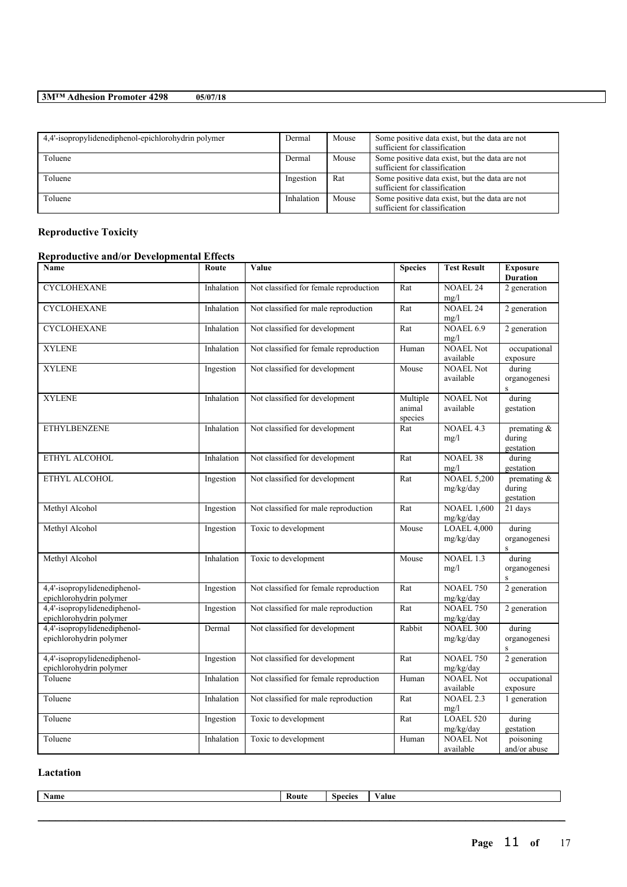| 4,4'-isopropylidenediphenol-epichlorohydrin polymer | Dermal     | Mouse | Some positive data exist, but the data are not<br>sufficient for classification |
|-----------------------------------------------------|------------|-------|---------------------------------------------------------------------------------|
| Toluene                                             | Dermal     | Mouse | Some positive data exist, but the data are not<br>sufficient for classification |
| Toluene                                             | Ingestion  | Rat   | Some positive data exist, but the data are not<br>sufficient for classification |
| Toluene                                             | Inhalation | Mouse | Some positive data exist, but the data are not<br>sufficient for classification |

# **Reproductive Toxicity**

# **Reproductive and/or Developmental Effects**

| Name                                                    | Route      | Value                                  | <b>Species</b>                | <b>Test Result</b>              | <b>Exposure</b><br><b>Duration</b>    |
|---------------------------------------------------------|------------|----------------------------------------|-------------------------------|---------------------------------|---------------------------------------|
| <b>CYCLOHEXANE</b>                                      | Inhalation | Not classified for female reproduction | Rat                           | <b>NOAEL 24</b><br>mg/l         | 2 generation                          |
| <b>CYCLOHEXANE</b>                                      | Inhalation | Not classified for male reproduction   | Rat                           | <b>NOAEL 24</b><br>mg/l         | 2 generation                          |
| <b>CYCLOHEXANE</b>                                      | Inhalation | Not classified for development         | Rat                           | <b>NOAEL 6.9</b><br>mg/l        | 2 generation                          |
| <b>XYLENE</b>                                           | Inhalation | Not classified for female reproduction | Human                         | <b>NOAEL Not</b><br>available   | occupational<br>exposure              |
| <b>XYLENE</b>                                           | Ingestion  | Not classified for development         | Mouse                         | <b>NOAEL Not</b><br>available   | during<br>organogenesi<br>$\rm S$     |
| <b>XYLENE</b>                                           | Inhalation | Not classified for development         | Multiple<br>animal<br>species | <b>NOAEL Not</b><br>available   | during<br>gestation                   |
| <b>ETHYLBENZENE</b>                                     | Inhalation | Not classified for development         | Rat                           | NOAEL 4.3<br>mg/l               | premating $\&$<br>during<br>gestation |
| ETHYL ALCOHOL                                           | Inhalation | Not classified for development         | Rat                           | <b>NOAEL 38</b><br>mg/l         | during<br>gestation                   |
| ETHYL ALCOHOL                                           | Ingestion  | Not classified for development         | Rat                           | <b>NOAEL 5,200</b><br>mg/kg/day | premating &<br>during<br>gestation    |
| Methyl Alcohol                                          | Ingestion  | Not classified for male reproduction   | $\overline{R}at$              | <b>NOAEL 1,600</b><br>mg/kg/day | 21 days                               |
| Methyl Alcohol                                          | Ingestion  | Toxic to development                   | Mouse                         | <b>LOAEL 4,000</b><br>mg/kg/day | during<br>organogenesi<br>$\rm S$     |
| Methyl Alcohol                                          | Inhalation | Toxic to development                   | Mouse                         | NOAEL 1.3<br>mg/l               | during<br>organogenesi<br>$\rm S$     |
| 4,4'-isopropylidenediphenol-<br>epichlorohydrin polymer | Ingestion  | Not classified for female reproduction | Rat                           | <b>NOAEL 750</b><br>mg/kg/day   | 2 generation                          |
| 4,4'-isopropylidenediphenol-<br>epichlorohydrin polymer | Ingestion  | Not classified for male reproduction   | Rat                           | <b>NOAEL 750</b><br>mg/kg/day   | 2 generation                          |
| 4,4'-isopropylidenediphenol-<br>epichlorohydrin polymer | Dermal     | Not classified for development         | Rabbit                        | <b>NOAEL 300</b><br>mg/kg/day   | during<br>organogenesi                |
| 4,4'-isopropylidenediphenol-<br>epichlorohydrin polymer | Ingestion  | Not classified for development         | Rat                           | <b>NOAEL 750</b><br>mg/kg/day   | 2 generation                          |
| Toluene                                                 | Inhalation | Not classified for female reproduction | Human                         | <b>NOAEL Not</b><br>available   | occupational<br>exposure              |
| Toluene                                                 | Inhalation | Not classified for male reproduction   | Rat                           | <b>NOAEL 2.3</b><br>mg/l        | 1 generation                          |
| Toluene                                                 | Ingestion  | Toxic to development                   | Rat                           | LOAEL 520<br>mg/kg/day          | during<br>gestation                   |
| Toluene                                                 | Inhalation | Toxic to development                   | Human                         | <b>NOAEL Not</b><br>available   | poisoning<br>and/or abuse             |

# **Lactation**

| Name | snecie | alue |
|------|--------|------|
|      |        |      |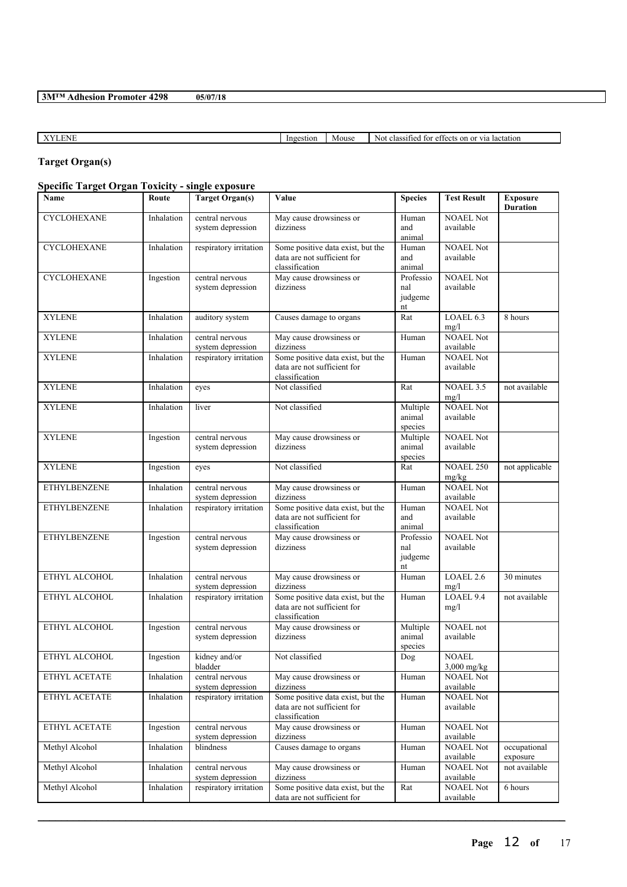XYLENE Ingestion Mouse Not classified for effects on or via lactation

# **Target Organ(s)**

# **Specific Target Organ Toxicity - single exposure**

| Name                | Route      | <b>Target Organ(s)</b>               | Value                                                                              | <b>Species</b>                    | <b>Test Result</b>            | <b>Exposure</b><br><b>Duration</b> |
|---------------------|------------|--------------------------------------|------------------------------------------------------------------------------------|-----------------------------------|-------------------------------|------------------------------------|
| <b>CYCLOHEXANE</b>  | Inhalation | central nervous<br>system depression | May cause drowsiness or<br>dizziness                                               | Human<br>and<br>animal            | <b>NOAEL Not</b><br>available |                                    |
| <b>CYCLOHEXANE</b>  | Inhalation | respiratory irritation               | Some positive data exist, but the<br>data are not sufficient for<br>classification | Human<br>and<br>animal            | <b>NOAEL Not</b><br>available |                                    |
| <b>CYCLOHEXANE</b>  | Ingestion  | central nervous<br>system depression | May cause drowsiness or<br>dizziness                                               | Professio<br>nal<br>judgeme<br>nt | <b>NOAEL Not</b><br>available |                                    |
| <b>XYLENE</b>       | Inhalation | auditory system                      | Causes damage to organs                                                            | Rat                               | LOAEL 6.3<br>mg/l             | 8 hours                            |
| <b>XYLENE</b>       | Inhalation | central nervous<br>system depression | May cause drowsiness or<br>dizziness                                               | Human                             | <b>NOAEL Not</b><br>available |                                    |
| <b>XYLENE</b>       | Inhalation | respiratory irritation               | Some positive data exist, but the<br>data are not sufficient for<br>classification | Human                             | <b>NOAEL Not</b><br>available |                                    |
| <b>XYLENE</b>       | Inhalation | eyes                                 | Not classified                                                                     | Rat                               | <b>NOAEL 3.5</b><br>mg/l      | not available                      |
| <b>XYLENE</b>       | Inhalation | liver                                | Not classified                                                                     | Multiple<br>animal<br>species     | <b>NOAEL Not</b><br>available |                                    |
| <b>XYLENE</b>       | Ingestion  | central nervous<br>system depression | May cause drowsiness or<br>dizziness                                               | Multiple<br>animal<br>species     | <b>NOAEL Not</b><br>available |                                    |
| <b>XYLENE</b>       | Ingestion  | eyes                                 | Not classified                                                                     | Rat                               | <b>NOAEL 250</b><br>mg/kg     | not applicable                     |
| <b>ETHYLBENZENE</b> | Inhalation | central nervous<br>system depression | May cause drowsiness or<br>dizziness                                               | Human                             | <b>NOAEL Not</b><br>available |                                    |
| <b>ETHYLBENZENE</b> | Inhalation | respiratory irritation               | Some positive data exist, but the<br>data are not sufficient for<br>classification | Human<br>and<br>animal            | <b>NOAEL Not</b><br>available |                                    |
| <b>ETHYLBENZENE</b> | Ingestion  | central nervous<br>system depression | May cause drowsiness or<br>dizziness                                               | Professio<br>nal<br>judgeme<br>nt | <b>NOAEL Not</b><br>available |                                    |
| ETHYL ALCOHOL       | Inhalation | central nervous<br>system depression | May cause drowsiness or<br>dizziness                                               | Human                             | LOAEL 2.6<br>mg/l             | 30 minutes                         |
| ETHYL ALCOHOL       | Inhalation | respiratory irritation               | Some positive data exist, but the<br>data are not sufficient for<br>classification | Human                             | LOAEL 9.4<br>mg/l             | not available                      |
| ETHYL ALCOHOL       | Ingestion  | central nervous<br>system depression | May cause drowsiness or<br>dizziness                                               | Multiple<br>animal<br>species     | NOAEL not<br>available        |                                    |
| ETHYL ALCOHOL       | Ingestion  | kidney and/or<br>bladder             | Not classified                                                                     | Dog                               | <b>NOAEL</b><br>$3,000$ mg/kg |                                    |
| ETHYL ACETATE       | Inhalation | central nervous<br>system depression | May cause drowsiness or<br>dizziness                                               | Human                             | <b>NOAEL Not</b><br>available |                                    |
| ETHYL ACETATE       | Inhalation | respiratory irritation               | Some positive data exist, but the<br>data are not sufficient for<br>classification | Human                             | <b>NOAEL Not</b><br>available |                                    |
| ETHYL ACETATE       | Ingestion  | central nervous<br>system depression | May cause drowsiness or<br>dizziness                                               | Human                             | <b>NOAEL Not</b><br>available |                                    |
| Methyl Alcohol      | Inhalation | blindness                            | Causes damage to organs                                                            | Human                             | <b>NOAEL Not</b><br>available | occupational<br>exposure           |
| Methyl Alcohol      | Inhalation | central nervous<br>system depression | May cause drowsiness or<br>dizziness                                               | Human                             | <b>NOAEL Not</b><br>available | not available                      |
| Methyl Alcohol      | Inhalation | respiratory irritation               | Some positive data exist, but the<br>data are not sufficient for                   | Rat                               | <b>NOAEL Not</b><br>available | 6 hours                            |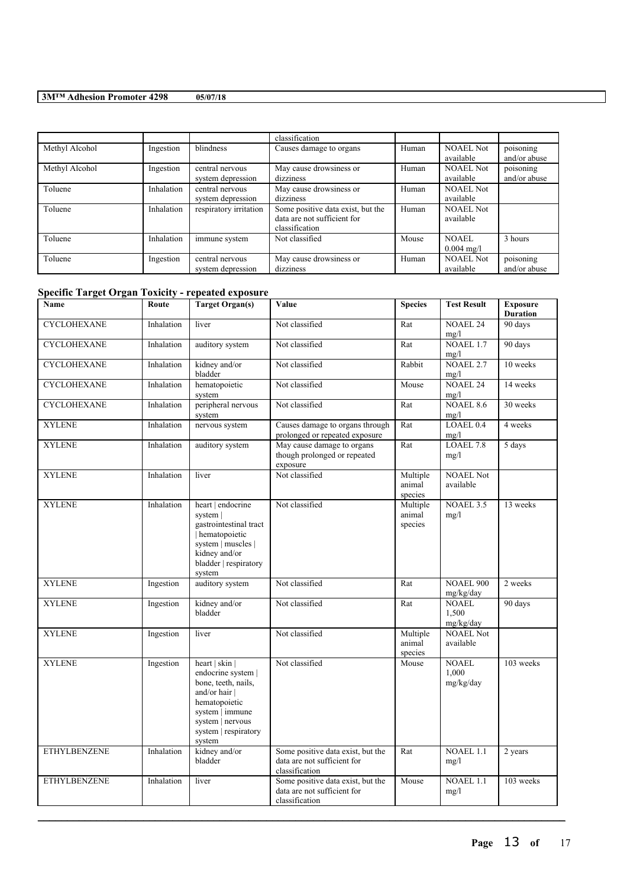|                |            |                        | classification                    |       |                      |              |
|----------------|------------|------------------------|-----------------------------------|-------|----------------------|--------------|
| Methyl Alcohol | Ingestion  | blindness              | Causes damage to organs           | Human | <b>NOAEL Not</b>     | poisoning    |
|                |            |                        |                                   |       | available            | and/or abuse |
| Methyl Alcohol | Ingestion  | central nervous        | May cause drowsiness or           | Human | <b>NOAEL Not</b>     | poisoning    |
|                |            | system depression      | dizziness                         |       | available            | and/or abuse |
| Toluene        | Inhalation | central nervous        | May cause drowsiness or           | Human | <b>NOAEL Not</b>     |              |
|                |            | system depression      | dizziness                         |       | available            |              |
| Toluene        | Inhalation | respiratory irritation | Some positive data exist, but the | Human | <b>NOAEL Not</b>     |              |
|                |            |                        | data are not sufficient for       |       | available            |              |
|                |            |                        | classification                    |       |                      |              |
| Toluene        | Inhalation | immune system          | Not classified                    | Mouse | NOAEL                | 3 hours      |
|                |            |                        |                                   |       | $0.004 \text{ mg/l}$ |              |
| Toluene        | Ingestion  | central nervous        | May cause drowsiness or           | Human | <b>NOAEL Not</b>     | poisoning    |
|                |            | system depression      | dizziness                         |       | available            | and/or abuse |

# **Specific Target Organ Toxicity - repeated exposure**

| Name                | Route      | <b>Target Organ(s)</b>                                                                                                                                               | Value                                                                              | <b>Species</b>                | <b>Test Result</b>                 | <b>Exposure</b><br><b>Duration</b> |
|---------------------|------------|----------------------------------------------------------------------------------------------------------------------------------------------------------------------|------------------------------------------------------------------------------------|-------------------------------|------------------------------------|------------------------------------|
| <b>CYCLOHEXANE</b>  | Inhalation | liver                                                                                                                                                                | Not classified                                                                     | Rat                           | <b>NOAEL 24</b><br>mg/l            | 90 days                            |
| <b>CYCLOHEXANE</b>  | Inhalation | auditory system                                                                                                                                                      | Not classified                                                                     | Rat                           | <b>NOAEL 1.7</b><br>mg/l           | 90 days                            |
| <b>CYCLOHEXANE</b>  | Inhalation | kidney and/or<br>bladder                                                                                                                                             | Not classified                                                                     | Rabbit                        | <b>NOAEL 2.7</b><br>mg/l           | 10 weeks                           |
| <b>CYCLOHEXANE</b>  | Inhalation | hematopoietic<br>system                                                                                                                                              | Not classified                                                                     | Mouse                         | <b>NOAEL 24</b><br>mg/l            | 14 weeks                           |
| <b>CYCLOHEXANE</b>  | Inhalation | peripheral nervous<br>system                                                                                                                                         | Not classified                                                                     | Rat                           | <b>NOAEL 8.6</b><br>mg/l           | 30 weeks                           |
| <b>XYLENE</b>       | Inhalation | nervous system                                                                                                                                                       | Causes damage to organs through<br>prolonged or repeated exposure                  | Rat                           | LOAEL <sub>0.4</sub><br>mg/l       | 4 weeks                            |
| <b>XYLENE</b>       | Inhalation | auditory system                                                                                                                                                      | May cause damage to organs<br>though prolonged or repeated<br>exposure             | Rat                           | LOAEL 7.8<br>mg/l                  | 5 days                             |
| <b>XYLENE</b>       | Inhalation | liver                                                                                                                                                                | Not classified                                                                     | Multiple<br>animal<br>species | <b>NOAEL Not</b><br>available      |                                    |
| <b>XYLENE</b>       | Inhalation | heart   endocrine<br>system  <br>gastrointestinal tract<br>hematopoietic<br>system   muscles  <br>kidney and/or<br>bladder   respiratory<br>system                   | Not classified                                                                     | Multiple<br>animal<br>species | NOAEL 3.5<br>mg/l                  | 13 weeks                           |
| <b>XYLENE</b>       | Ingestion  | auditory system                                                                                                                                                      | Not classified                                                                     | Rat                           | <b>NOAEL 900</b><br>mg/kg/day      | 2 weeks                            |
| <b>XYLENE</b>       | Ingestion  | kidney and/or<br>bladder                                                                                                                                             | Not classified                                                                     | Rat                           | <b>NOAEL</b><br>1,500<br>mg/kg/day | 90 days                            |
| <b>XYLENE</b>       | Ingestion  | liver                                                                                                                                                                | Not classified                                                                     | Multiple<br>animal<br>species | <b>NOAEL Not</b><br>available      |                                    |
| <b>XYLENE</b>       | Ingestion  | heart   skin  <br>endocrine system  <br>bone, teeth, nails,<br>and/or hair<br>hematopoietic<br>system   immune<br>system   nervous<br>system   respiratory<br>system | Not classified                                                                     | Mouse                         | <b>NOAEL</b><br>1,000<br>mg/kg/day | 103 weeks                          |
| <b>ETHYLBENZENE</b> | Inhalation | kidney and/or<br>bladder                                                                                                                                             | Some positive data exist, but the<br>data are not sufficient for<br>classification | Rat                           | NOAEL 1.1<br>mg/l                  | 2 years                            |
| <b>ETHYLBENZENE</b> | Inhalation | liver                                                                                                                                                                | Some positive data exist, but the<br>data are not sufficient for<br>classification | Mouse                         | <b>NOAEL 1.1</b><br>mg/l           | 103 weeks                          |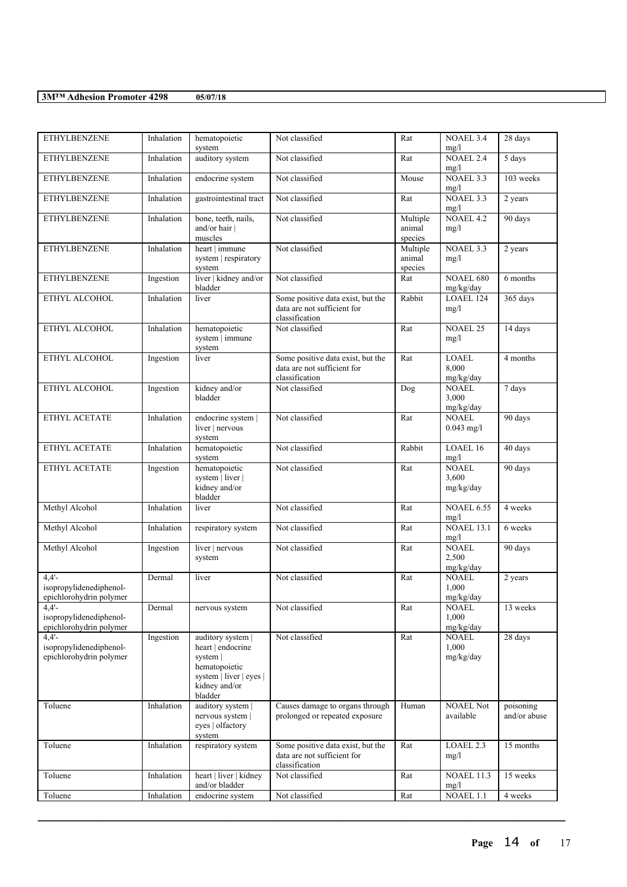| <b>ETHYLBENZENE</b>                                            | Inhalation | hematopoietic<br>system                                                                                                    | Not classified                                                                     | Rat                           | NOAEL 3.4<br>mg/l                  | 28 days                   |
|----------------------------------------------------------------|------------|----------------------------------------------------------------------------------------------------------------------------|------------------------------------------------------------------------------------|-------------------------------|------------------------------------|---------------------------|
| <b>ETHYLBENZENE</b>                                            | Inhalation | auditory system                                                                                                            | Not classified                                                                     | Rat                           | <b>NOAEL 2.4</b><br>mg/l           | 5 days                    |
| <b>ETHYLBENZENE</b>                                            | Inhalation | endocrine system                                                                                                           | Not classified                                                                     | Mouse                         | NOAEL 3.3<br>mg/l                  | 103 weeks                 |
| <b>ETHYLBENZENE</b>                                            | Inhalation | gastrointestinal tract                                                                                                     | Not classified                                                                     | Rat                           | NOAEL 3.3<br>mg/l                  | 2 years                   |
| <b>ETHYLBENZENE</b>                                            | Inhalation | bone, teeth, nails,<br>and/or hair  <br>muscles                                                                            | Not classified                                                                     | Multiple<br>animal<br>species | <b>NOAEL 4.2</b><br>mg/l           | 90 days                   |
| <b>ETHYLBENZENE</b>                                            | Inhalation | heart   immune<br>system   respiratory<br>system                                                                           | Not classified                                                                     | Multiple<br>animal<br>species | NOAEL 3.3<br>mg/l                  | 2 years                   |
| <b>ETHYLBENZENE</b>                                            | Ingestion  | liver   kidney and/or<br>bladder                                                                                           | Not classified                                                                     | Rat                           | <b>NOAEL 680</b><br>mg/kg/day      | 6 months                  |
| ETHYL ALCOHOL                                                  | Inhalation | liver                                                                                                                      | Some positive data exist, but the<br>data are not sufficient for<br>classification | Rabbit                        | LOAEL 124<br>mg/l                  | 365 days                  |
| ETHYL ALCOHOL                                                  | Inhalation | hematopoietic<br>system   immune<br>system                                                                                 | Not classified                                                                     | $\overline{Rat}$              | <b>NOAEL 25</b><br>mg/l            | 14 days                   |
| ETHYL ALCOHOL                                                  | Ingestion  | liver                                                                                                                      | Some positive data exist, but the<br>data are not sufficient for<br>classification | Rat                           | LOAEL<br>8.000<br>mg/kg/day        | 4 months                  |
| ETHYL ALCOHOL                                                  | Ingestion  | kidney and/or<br>bladder                                                                                                   | Not classified                                                                     | Dog                           | <b>NOAEL</b><br>3.000<br>mg/kg/day | 7 days                    |
| ETHYL ACETATE                                                  | Inhalation | endocrine system  <br>liver $ $ nervous<br>system                                                                          | Not classified                                                                     | Rat                           | <b>NOAEL</b><br>$0.043$ mg/l       | 90 days                   |
| ETHYL ACETATE                                                  | Inhalation | hematopoietic<br>system                                                                                                    | Not classified                                                                     | Rabbit                        | LOAEL 16<br>mg/l                   | 40 days                   |
| ETHYL ACETATE                                                  | Ingestion  | hematopoietic<br>system   liver  <br>kidney and/or<br>bladder                                                              | Not classified                                                                     | Rat                           | <b>NOAEL</b><br>3,600<br>mg/kg/day | 90 days                   |
| Methyl Alcohol                                                 | Inhalation | liver                                                                                                                      | Not classified                                                                     | Rat                           | <b>NOAEL 6.55</b><br>mg/l          | 4 weeks                   |
| Methyl Alcohol                                                 | Inhalation | respiratory system                                                                                                         | Not classified                                                                     | Rat                           | <b>NOAEL 13.1</b><br>mg/l          | $6$ weeks                 |
| Methyl Alcohol                                                 | Ingestion  | liver   nervous<br>system                                                                                                  | Not classified                                                                     | Rat                           | <b>NOAEL</b><br>2,500<br>mg/kg/day | 90 days                   |
| 4.4'<br>isopropylidenediphenol-<br>epichlorohydrin polymer     | Dermal     | liver                                                                                                                      | Not classified                                                                     | Rat                           | NOAEL<br>1,000<br>mg/kg/day        | 2 years                   |
| $4,4'$ -<br>isopropylidenediphenol-<br>epichlorohydrin polymer | Dermal     | nervous system                                                                                                             | Not classified                                                                     | Rat                           | <b>NOAEL</b><br>1,000<br>mg/kg/day | 13 weeks                  |
| 4.4'<br>isopropylidenediphenol-<br>epichlorohydrin polymer     | Ingestion  | auditory system  <br>heart   endocrine<br>system  <br>hematopoietic<br>system   liver   eyes  <br>kidney and/or<br>bladder | Not classified                                                                     | Rat                           | <b>NOAEL</b><br>1,000<br>mg/kg/day | 28 days                   |
| Toluene                                                        | Inhalation | auditory system<br>nervous system  <br>eyes   olfactory<br>system                                                          | Causes damage to organs through<br>prolonged or repeated exposure                  | Human                         | <b>NOAEL Not</b><br>available      | poisoning<br>and/or abuse |
| Toluene                                                        | Inhalation | respiratory system                                                                                                         | Some positive data exist, but the<br>data are not sufficient for<br>classification | Rat                           | LOAEL 2.3<br>mg/l                  | 15 months                 |
| Toluene                                                        | Inhalation | heart   liver   kidney<br>and/or bladder                                                                                   | Not classified                                                                     | Rat                           | <b>NOAEL 11.3</b><br>mg/l          | 15 weeks                  |
| Toluene                                                        | Inhalation | endocrine system                                                                                                           | Not classified                                                                     | Rat                           | NOAEL 1.1                          | 4 weeks                   |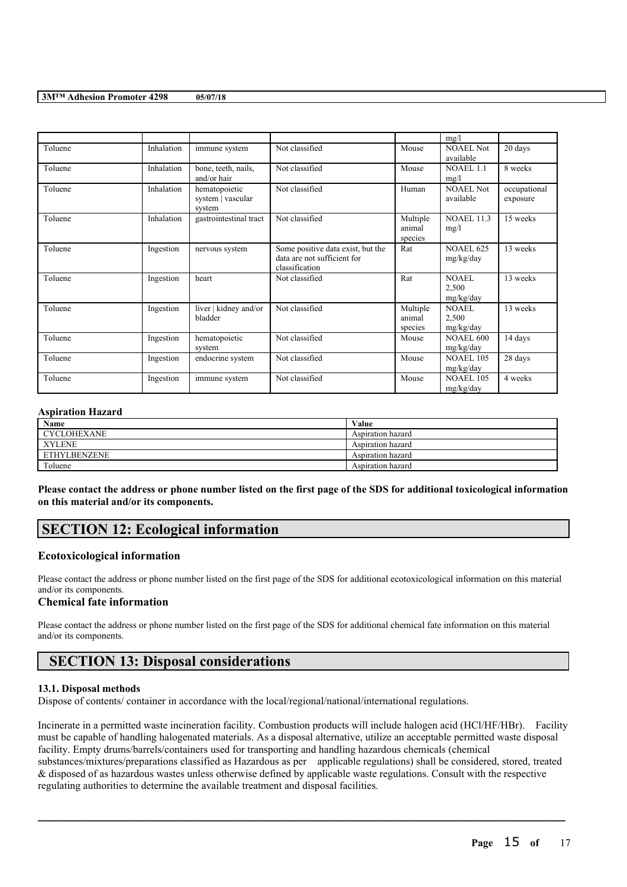|         |            |                                              |                                                                                    |                               | mg/l                               |                          |
|---------|------------|----------------------------------------------|------------------------------------------------------------------------------------|-------------------------------|------------------------------------|--------------------------|
| Toluene | Inhalation | immune system                                | Not classified                                                                     | Mouse                         | <b>NOAEL Not</b><br>available      | 20 days                  |
| Toluene | Inhalation | bone, teeth, nails,<br>and/or hair           | Not classified                                                                     | Mouse                         | <b>NOAEL 1.1</b><br>mg/l           | 8 weeks                  |
| Toluene | Inhalation | hematopoietic<br>system   vascular<br>system | Not classified                                                                     | Human                         | <b>NOAEL Not</b><br>available      | occupational<br>exposure |
| Toluene | Inhalation | gastrointestinal tract                       | Not classified                                                                     | Multiple<br>animal<br>species | <b>NOAEL 11.3</b><br>mg/l          | 15 weeks                 |
| Toluene | Ingestion  | nervous system                               | Some positive data exist, but the<br>data are not sufficient for<br>classification | Rat                           | <b>NOAEL 625</b><br>mg/kg/day      | 13 weeks                 |
| Toluene | Ingestion  | heart                                        | Not classified                                                                     | Rat                           | <b>NOAEL</b><br>2,500<br>mg/kg/day | 13 weeks                 |
| Toluene | Ingestion  | liver   kidney and/or<br>bladder             | Not classified                                                                     | Multiple<br>animal<br>species | <b>NOAEL</b><br>2,500<br>mg/kg/day | 13 weeks                 |
| Toluene | Ingestion  | hematopoietic<br>system                      | Not classified                                                                     | Mouse                         | <b>NOAEL 600</b><br>mg/kg/day      | 14 days                  |
| Toluene | Ingestion  | endocrine system                             | Not classified                                                                     | Mouse                         | <b>NOAEL 105</b><br>mg/kg/day      | 28 days                  |
| Toluene | Ingestion  | immune system                                | Not classified                                                                     | Mouse                         | <b>NOAEL 105</b><br>mg/kg/day      | 4 weeks                  |

## **Aspiration Hazard**

| Name                | Value             |
|---------------------|-------------------|
| CYCLOHEXANE         | Aspiration hazard |
| <b>XYLENE</b>       | Aspiration hazard |
| <b>ETHYLBENZENE</b> | Aspiration hazard |
| Toluene             | Aspiration hazard |

Please contact the address or phone number listed on the first page of the SDS for additional toxicological information **on this material and/or its components.**

# **SECTION 12: Ecological information**

## **Ecotoxicological information**

Please contact the address or phone number listed on the first page of the SDS for additional ecotoxicological information on this material and/or its components.

# **Chemical fate information**

Please contact the address or phone number listed on the first page of the SDS for additional chemical fate information on this material and/or its components.

# **SECTION 13: Disposal considerations**

## **13.1. Disposal methods**

Dispose of contents/ container in accordance with the local/regional/national/international regulations.

Incinerate in a permitted waste incineration facility. Combustion products will include halogen acid (HCl/HF/HBr). Facility must be capable of handling halogenated materials. As a disposal alternative, utilize an acceptable permitted waste disposal facility. Empty drums/barrels/containers used for transporting and handling hazardous chemicals (chemical substances/mixtures/preparations classified as Hazardous as per applicable regulations) shall be considered, stored, treated & disposed of as hazardous wastes unless otherwise defined by applicable waste regulations. Consult with the respective regulating authorities to determine the available treatment and disposal facilities.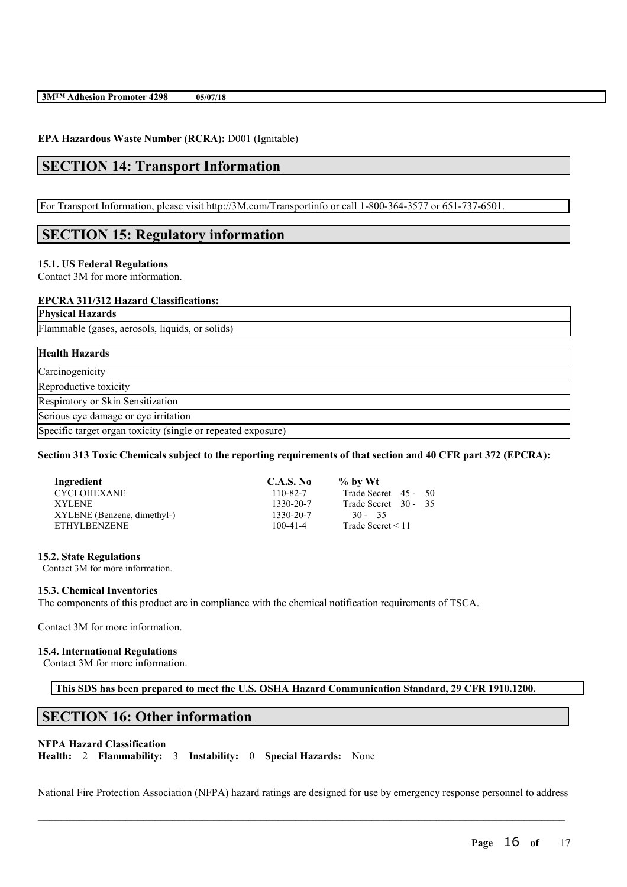### **EPA Hazardous Waste Number (RCRA):** D001 (Ignitable)

# **SECTION 14: Transport Information**

For Transport Information, please visit http://3M.com/Transportinfo or call 1-800-364-3577 or 651-737-6501.

# **SECTION 15: Regulatory information**

### **15.1. US Federal Regulations**

Contact 3M for more information.

#### **EPCRA 311/312 Hazard Classifications:**

**Physical Hazards**

Flammable (gases, aerosols, liquids, or solids)

# **Health Hazards** Carcinogenicity Reproductive toxicity Respiratory or Skin Sensitization Serious eye damage or eye irritation Specific target organ toxicity (single or repeated exposure)

#### Section 313 Toxic Chemicals subject to the reporting requirements of that section and 40 CFR part 372 (EPCRA):

| Ingredient                  | C.A.S. No      | $\%$ by Wt             |
|-----------------------------|----------------|------------------------|
| <b>CYCLOHEXANE</b>          | $110 - 82 - 7$ | Trade Secret 45 - 50   |
| XYLENE.                     | 1330-20-7      | Trade Secret 30 - 35   |
| XYLENE (Benzene, dimethyl-) | 1330-20-7      | $30 - 35$              |
| <b>ETHYLBENZENE</b>         | $100 - 41 - 4$ | Trade Secret $\leq 11$ |

#### **15.2. State Regulations**

Contact 3M for more information.

#### **15.3. Chemical Inventories**

The components of this product are in compliance with the chemical notification requirements of TSCA.

Contact 3M for more information.

### **15.4. International Regulations**

Contact 3M for more information.

**This SDS has been prepared to meet the U.S. OSHA Hazard Communication Standard, 29 CFR 1910.1200.**

# **SECTION 16: Other information**

#### **NFPA Hazard Classification**

**Health:** 2 **Flammability:** 3 **Instability:** 0 **Special Hazards:** None

National Fire Protection Association (NFPA) hazard ratings are designed for use by emergency response personnel to address